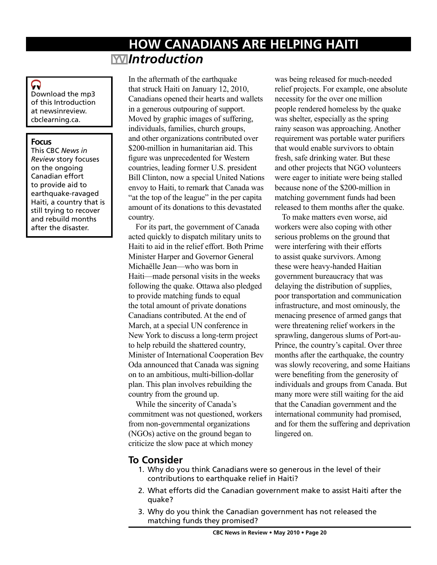# **HOW CANADIANS ARE HELPING HAITI** *Introduction*

## Q

Download the mp3 of this Introduction at newsinreview. cbclearning.ca.

### **Focus**

This CBC *News in Review* story focuses on the ongoing Canadian effort to provide aid to earthquake-ravaged Haiti, a country that is still trying to recover and rebuild months after the disaster.

In the aftermath of the earthquake that struck Haiti on January 12, 2010, Canadians opened their hearts and wallets in a generous outpouring of support. Moved by graphic images of suffering, individuals, families, church groups, and other organizations contributed over \$200-million in humanitarian aid. This figure was unprecedented for Western countries, leading former U.S. president Bill Clinton, now a special United Nations envoy to Haiti, to remark that Canada was "at the top of the league" in the per capita amount of its donations to this devastated country.

For its part, the government of Canada acted quickly to dispatch military units to Haiti to aid in the relief effort. Both Prime Minister Harper and Governor General Michaëlle Jean—who was born in Haiti—made personal visits in the weeks following the quake. Ottawa also pledged to provide matching funds to equal the total amount of private donations Canadians contributed. At the end of March, at a special UN conference in New York to discuss a long-term project to help rebuild the shattered country, Minister of International Cooperation Bev Oda announced that Canada was signing on to an ambitious, multi-billion-dollar plan. This plan involves rebuilding the country from the ground up.

While the sincerity of Canada's commitment was not questioned, workers from non-governmental organizations (NGOs) active on the ground began to criticize the slow pace at which money

was being released for much-needed relief projects. For example, one absolute necessity for the over one million people rendered homeless by the quake was shelter, especially as the spring rainy season was approaching. Another requirement was portable water purifiers that would enable survivors to obtain fresh, safe drinking water. But these and other projects that NGO volunteers were eager to initiate were being stalled because none of the \$200-million in matching government funds had been released to them months after the quake.

To make matters even worse, aid workers were also coping with other serious problems on the ground that were interfering with their efforts to assist quake survivors. Among these were heavy-handed Haitian government bureaucracy that was delaying the distribution of supplies, poor transportation and communication infrastructure, and most ominously, the menacing presence of armed gangs that were threatening relief workers in the sprawling, dangerous slums of Port-au-Prince, the country's capital. Over three months after the earthquake, the country was slowly recovering, and some Haitians were benefiting from the generosity of individuals and groups from Canada. But many more were still waiting for the aid that the Canadian government and the international community had promised, and for them the suffering and deprivation lingered on.

## **To Consider**

- 1. Why do you think Canadians were so generous in the level of their contributions to earthquake relief in Haiti?
- 2. What efforts did the Canadian government make to assist Haiti after the quake?
- 3. Why do you think the Canadian government has not released the matching funds they promised?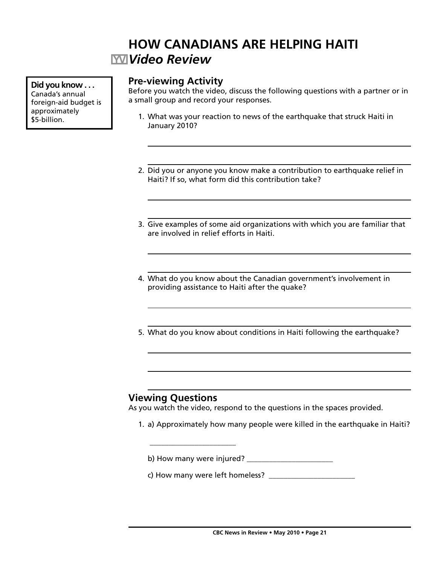# **HOW CANADIANS ARE HELPING HAITI** *Video Review*

**Did you know . . .** Canada's annual foreign-aid budget is approximately \$5-billion.

## **Pre-viewing Activity**

Before you watch the video, discuss the following questions with a partner or in a small group and record your responses.

- 1. What was your reaction to news of the earthquake that struck Haiti in January 2010?
- 2. Did you or anyone you know make a contribution to earthquake relief in Haiti? If so, what form did this contribution take?
- 3. Give examples of some aid organizations with which you are familiar that are involved in relief efforts in Haiti.
- 4. What do you know about the Canadian government's involvement in providing assistance to Haiti after the quake?
- 5. What do you know about conditions in Haiti following the earthquake?

## **Viewing Questions**

\_\_\_\_\_\_\_\_\_\_\_\_\_\_\_\_\_\_\_\_\_\_\_

As you watch the video, respond to the questions in the spaces provided.

1. a) Approximately how many people were killed in the earthquake in Haiti?

b) How many were injured? \_\_\_\_\_\_\_\_\_\_\_\_\_\_\_\_\_\_\_\_\_\_\_

c) How many were left homeless?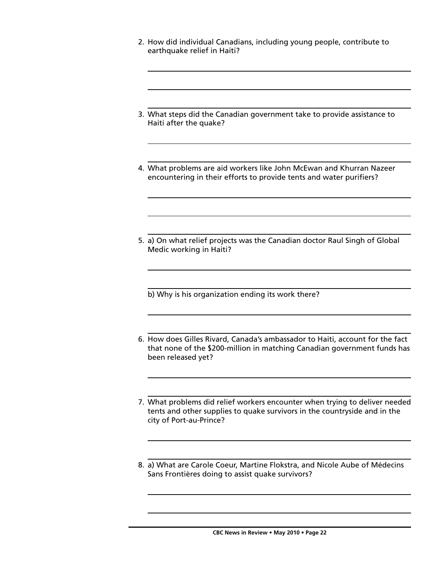- 2. How did individual Canadians, including young people, contribute to earthquake relief in Haiti?
- 3. What steps did the Canadian government take to provide assistance to Haiti after the quake?
- 4. What problems are aid workers like John McEwan and Khurran Nazeer encountering in their efforts to provide tents and water purifiers?
- 5. a) On what relief projects was the Canadian doctor Raul Singh of Global Medic working in Haiti?

b) Why is his organization ending its work there?

- 6. How does Gilles Rivard, Canada's ambassador to Haiti, account for the fact that none of the \$200-million in matching Canadian government funds has been released yet?
- 7. What problems did relief workers encounter when trying to deliver needed tents and other supplies to quake survivors in the countryside and in the city of Port-au-Prince?
- 8. a) What are Carole Coeur, Martine Flokstra, and Nicole Aube of Médecins Sans Frontières doing to assist quake survivors?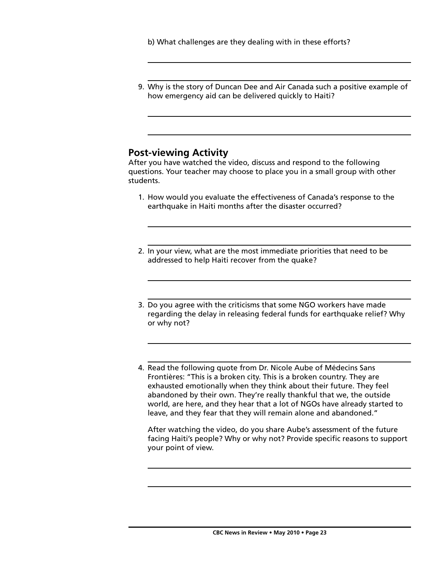b) What challenges are they dealing with in these efforts?

 9. Why is the story of Duncan Dee and Air Canada such a positive example of how emergency aid can be delivered quickly to Haiti?

### **Post-viewing Activity**

After you have watched the video, discuss and respond to the following questions. Your teacher may choose to place you in a small group with other students.

- 1. How would you evaluate the effectiveness of Canada's response to the earthquake in Haiti months after the disaster occurred?
- 2. In your view, what are the most immediate priorities that need to be addressed to help Haiti recover from the quake?
- 3. Do you agree with the criticisms that some NGO workers have made regarding the delay in releasing federal funds for earthquake relief? Why or why not?
- 4. Read the following quote from Dr. Nicole Aube of Médecins Sans Frontières: "This is a broken city. This is a broken country. They are exhausted emotionally when they think about their future. They feel abandoned by their own. They're really thankful that we, the outside world, are here, and they hear that a lot of NGOs have already started to leave, and they fear that they will remain alone and abandoned."

 After watching the video, do you share Aube's assessment of the future facing Haiti's people? Why or why not? Provide specific reasons to support your point of view.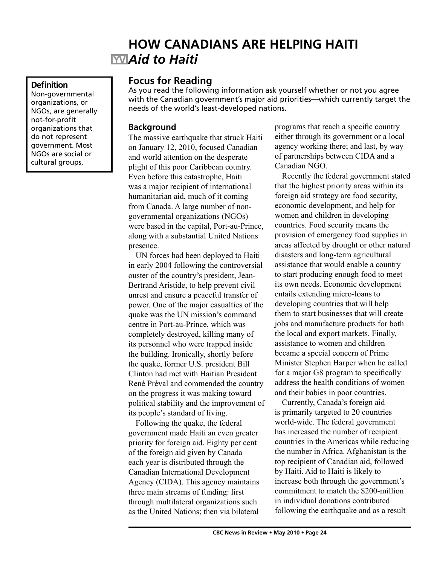# **HOW CANADIANS ARE HELPING HAITI** *Aid to Haiti*

#### **Definition**

Non-governmental organizations, or NGOs, are generally not-for-profit organizations that do not represent government. Most NGOs are social or cultural groups.

## **Focus for Reading**

As you read the following information ask yourself whether or not you agree with the Canadian government's major aid priorities—which currently target the needs of the world's least-developed nations.

#### **Background**

The massive earthquake that struck Haiti on January 12, 2010, focused Canadian and world attention on the desperate plight of this poor Caribbean country. Even before this catastrophe, Haiti was a major recipient of international humanitarian aid, much of it coming from Canada. A large number of nongovernmental organizations (NGOs) were based in the capital, Port-au-Prince, along with a substantial United Nations presence.

UN forces had been deployed to Haiti in early 2004 following the controversial ouster of the country's president, Jean-Bertrand Aristide, to help prevent civil unrest and ensure a peaceful transfer of power. One of the major casualties of the quake was the UN mission's command centre in Port-au-Prince, which was completely destroyed, killing many of its personnel who were trapped inside the building. Ironically, shortly before the quake, former U.S. president Bill Clinton had met with Haitian President René Préval and commended the country on the progress it was making toward political stability and the improvement of its people's standard of living.

Following the quake, the federal government made Haiti an even greater priority for foreign aid. Eighty per cent of the foreign aid given by Canada each year is distributed through the Canadian International Development Agency (CIDA). This agency maintains three main streams of funding: first through multilateral organizations such as the United Nations; then via bilateral

programs that reach a specific country either through its government or a local agency working there; and last, by way of partnerships between CIDA and a Canadian NGO.

Recently the federal government stated that the highest priority areas within its foreign aid strategy are food security, economic development, and help for women and children in developing countries. Food security means the provision of emergency food supplies in areas affected by drought or other natural disasters and long-term agricultural assistance that would enable a country to start producing enough food to meet its own needs. Economic development entails extending micro-loans to developing countries that will help them to start businesses that will create jobs and manufacture products for both the local and export markets. Finally, assistance to women and children became a special concern of Prime Minister Stephen Harper when he called for a major G8 program to specifically address the health conditions of women and their babies in poor countries.

Currently, Canada's foreign aid is primarily targeted to 20 countries world-wide. The federal government has increased the number of recipient countries in the Americas while reducing the number in Africa. Afghanistan is the top recipient of Canadian aid, followed by Haiti. Aid to Haiti is likely to increase both through the government's commitment to match the \$200-million in individual donations contributed following the earthquake and as a result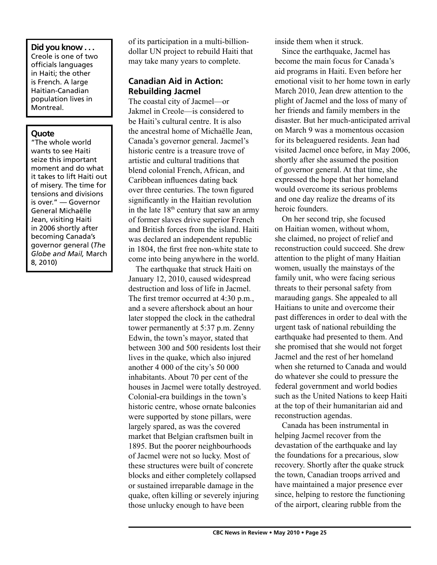#### **Did you know . . .** Creole is one of two officials languages in Haiti; the other is French. A large Haitian-Canadian population lives in Montreal.

#### **Quote**

"The whole world wants to see Haiti seize this important moment and do what it takes to lift Haiti out of misery. The time for tensions and divisions is over." — Governor General Michaëlle Jean, visiting Haiti in 2006 shortly after becoming Canada's governor general (*The Globe and Mail,* March 8, 2010)

of its participation in a multi-billiondollar UN project to rebuild Haiti that may take many years to complete.

## **Canadian Aid in Action: Rebuilding Jacmel**

The coastal city of Jacmel—or Jakmel in Creole—is considered to be Haiti's cultural centre. It is also the ancestral home of Michaëlle Jean, Canada's governor general. Jacmel's historic centre is a treasure trove of artistic and cultural traditions that blend colonial French, African, and Caribbean influences dating back over three centuries. The town figured significantly in the Haitian revolution in the late  $18<sup>th</sup>$  century that saw an army of former slaves drive superior French and British forces from the island. Haiti was declared an independent republic in 1804, the first free non-white state to come into being anywhere in the world.

The earthquake that struck Haiti on January 12, 2010, caused widespread destruction and loss of life in Jacmel. The first tremor occurred at 4:30 p.m., and a severe aftershock about an hour later stopped the clock in the cathedral tower permanently at 5:37 p.m. Zenny Edwin, the town's mayor, stated that between 300 and 500 residents lost their lives in the quake, which also injured another 4 000 of the city's 50 000 inhabitants. About 70 per cent of the houses in Jacmel were totally destroyed. Colonial-era buildings in the town's historic centre, whose ornate balconies were supported by stone pillars, were largely spared, as was the covered market that Belgian craftsmen built in 1895. But the poorer neighbourhoods of Jacmel were not so lucky. Most of these structures were built of concrete blocks and either completely collapsed or sustained irreparable damage in the quake, often killing or severely injuring those unlucky enough to have been

inside them when it struck.

Since the earthquake, Jacmel has become the main focus for Canada's aid programs in Haiti. Even before her emotional visit to her home town in early March 2010, Jean drew attention to the plight of Jacmel and the loss of many of her friends and family members in the disaster. But her much-anticipated arrival on March 9 was a momentous occasion for its beleaguered residents. Jean had visited Jacmel once before, in May 2006, shortly after she assumed the position of governor general. At that time, she expressed the hope that her homeland would overcome its serious problems and one day realize the dreams of its heroic founders.

On her second trip, she focused on Haitian women, without whom, she claimed, no project of relief and reconstruction could succeed. She drew attention to the plight of many Haitian women, usually the mainstays of the family unit, who were facing serious threats to their personal safety from marauding gangs. She appealed to all Haitians to unite and overcome their past differences in order to deal with the urgent task of national rebuilding the earthquake had presented to them. And she promised that she would not forget Jacmel and the rest of her homeland when she returned to Canada and would do whatever she could to pressure the federal government and world bodies such as the United Nations to keep Haiti at the top of their humanitarian aid and reconstruction agendas.

Canada has been instrumental in helping Jacmel recover from the devastation of the earthquake and lay the foundations for a precarious, slow recovery. Shortly after the quake struck the town, Canadian troops arrived and have maintained a major presence ever since, helping to restore the functioning of the airport, clearing rubble from the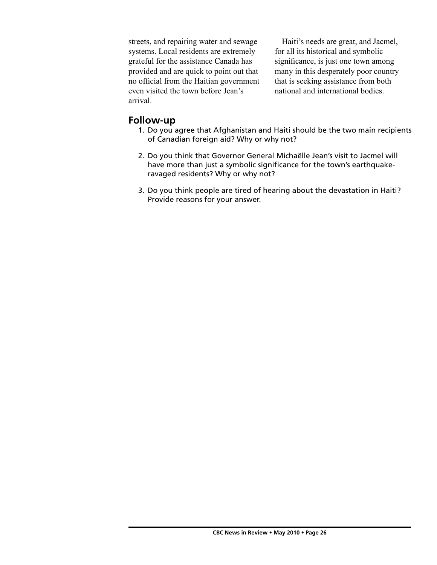streets, and repairing water and sewage systems. Local residents are extremely grateful for the assistance Canada has provided and are quick to point out that no official from the Haitian government even visited the town before Jean's arrival.

Haiti's needs are great, and Jacmel, for all its historical and symbolic significance, is just one town among many in this desperately poor country that is seeking assistance from both national and international bodies.

### **Follow-up**

- 1. Do you agree that Afghanistan and Haiti should be the two main recipients of Canadian foreign aid? Why or why not?
- 2. Do you think that Governor General Michaëlle Jean's visit to Jacmel will have more than just a symbolic significance for the town's earthquakeravaged residents? Why or why not?
- 3. Do you think people are tired of hearing about the devastation in Haiti? Provide reasons for your answer.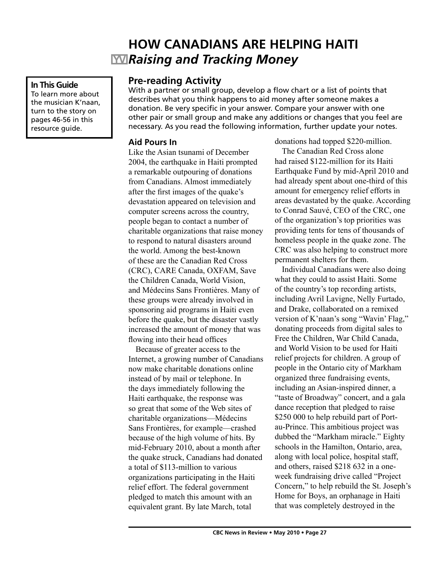# **HOW CANADIANS ARE HELPING HAITI** *Raising and Tracking Money*

#### **In This Guide**

To learn more about the musician K'naan, turn to the story on pages 46-56 in this resource guide.

## **Pre-reading Activity**

With a partner or small group, develop a flow chart or a list of points that describes what you think happens to aid money after someone makes a donation. Be very specific in your answer. Compare your answer with one other pair or small group and make any additions or changes that you feel are necessary. As you read the following information, further update your notes.

#### **Aid Pours In**

Like the Asian tsunami of December 2004, the earthquake in Haiti prompted a remarkable outpouring of donations from Canadians. Almost immediately after the first images of the quake's devastation appeared on television and computer screens across the country, people began to contact a number of charitable organizations that raise money to respond to natural disasters around the world. Among the best-known of these are the Canadian Red Cross (CRC), CARE Canada, OXFAM, Save the Children Canada, World Vision, and Médecins Sans Frontières. Many of these groups were already involved in sponsoring aid programs in Haiti even before the quake, but the disaster vastly increased the amount of money that was flowing into their head offices

Because of greater access to the Internet, a growing number of Canadians now make charitable donations online instead of by mail or telephone. In the days immediately following the Haiti earthquake, the response was so great that some of the Web sites of charitable organizations—Médecins Sans Frontières, for example—crashed because of the high volume of hits. By mid-February 2010, about a month after the quake struck, Canadians had donated a total of \$113-million to various organizations participating in the Haiti relief effort. The federal government pledged to match this amount with an equivalent grant. By late March, total

donations had topped \$220-million.

The Canadian Red Cross alone had raised \$122-million for its Haiti Earthquake Fund by mid-April 2010 and had already spent about one-third of this amount for emergency relief efforts in areas devastated by the quake. According to Conrad Sauvé, CEO of the CRC, one of the organization's top priorities was providing tents for tens of thousands of homeless people in the quake zone. The CRC was also helping to construct more permanent shelters for them.

Individual Canadians were also doing what they could to assist Haiti. Some of the country's top recording artists, including Avril Lavigne, Nelly Furtado, and Drake, collaborated on a remixed version of K'naan's song "Wavin' Flag," donating proceeds from digital sales to Free the Children, War Child Canada, and World Vision to be used for Haiti relief projects for children. A group of people in the Ontario city of Markham organized three fundraising events, including an Asian-inspired dinner, a "taste of Broadway" concert, and a gala dance reception that pledged to raise \$250 000 to help rebuild part of Portau-Prince. This ambitious project was dubbed the "Markham miracle." Eighty schools in the Hamilton, Ontario, area, along with local police, hospital staff, and others, raised \$218 632 in a oneweek fundraising drive called "Project Concern," to help rebuild the St. Joseph's Home for Boys, an orphanage in Haiti that was completely destroyed in the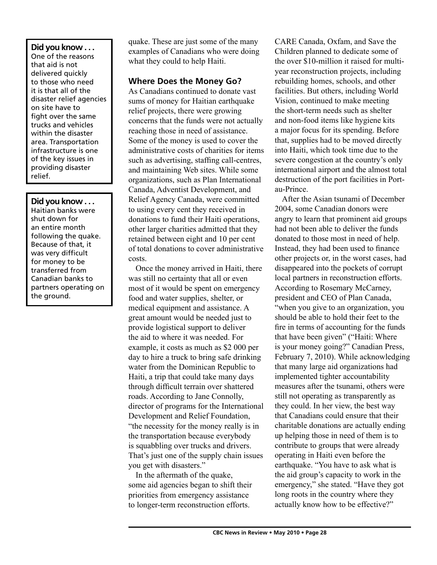## **Did you know . . .**

One of the reasons that aid is not delivered quickly to those who need it is that all of the disaster relief agencies on site have to fight over the same trucks and vehicles within the disaster area. Transportation infrastructure is one of the key issues in providing disaster relief.

#### **Did you know . . .**

Haitian banks were shut down for an entire month following the quake. Because of that, it was very difficult for money to be transferred from Canadian banks to partners operating on the ground.

quake. These are just some of the many examples of Canadians who were doing what they could to help Haiti.

### **Where Does the Money Go?**

As Canadians continued to donate vast sums of money for Haitian earthquake relief projects, there were growing concerns that the funds were not actually reaching those in need of assistance. Some of the money is used to cover the administrative costs of charities for items such as advertising, staffing call-centres, and maintaining Web sites. While some organizations, such as Plan International Canada, Adventist Development, and Relief Agency Canada, were committed to using every cent they received in donations to fund their Haiti operations, other larger charities admitted that they retained between eight and 10 per cent of total donations to cover administrative costs.

Once the money arrived in Haiti, there was still no certainty that all or even most of it would be spent on emergency food and water supplies, shelter, or medical equipment and assistance. A great amount would be needed just to provide logistical support to deliver the aid to where it was needed. For example, it costs as much as \$2 000 per day to hire a truck to bring safe drinking water from the Dominican Republic to Haiti, a trip that could take many days through difficult terrain over shattered roads. According to Jane Connolly, director of programs for the International Development and Relief Foundation, "the necessity for the money really is in the transportation because everybody is squabbling over trucks and drivers. That's just one of the supply chain issues you get with disasters."

In the aftermath of the quake, some aid agencies began to shift their priorities from emergency assistance to longer-term reconstruction efforts.

CARE Canada, Oxfam, and Save the Children planned to dedicate some of the over \$10-million it raised for multiyear reconstruction projects, including rebuilding homes, schools, and other facilities. But others, including World Vision, continued to make meeting the short-term needs such as shelter and non-food items like hygiene kits a major focus for its spending. Before that, supplies had to be moved directly into Haiti, which took time due to the severe congestion at the country's only international airport and the almost total destruction of the port facilities in Portau-Prince.

After the Asian tsunami of December 2004, some Canadian donors were angry to learn that prominent aid groups had not been able to deliver the funds donated to those most in need of help. Instead, they had been used to finance other projects or, in the worst cases, had disappeared into the pockets of corrupt local partners in reconstruction efforts. According to Rosemary McCarney, president and CEO of Plan Canada, "when you give to an organization, you should be able to hold their feet to the fire in terms of accounting for the funds that have been given" ("Haiti: Where is your money going?" Canadian Press, February 7, 2010). While acknowledging that many large aid organizations had implemented tighter accountability measures after the tsunami, others were still not operating as transparently as they could. In her view, the best way that Canadians could ensure that their charitable donations are actually ending up helping those in need of them is to contribute to groups that were already operating in Haiti even before the earthquake. "You have to ask what is the aid group's capacity to work in the emergency," she stated. "Have they got long roots in the country where they actually know how to be effective?"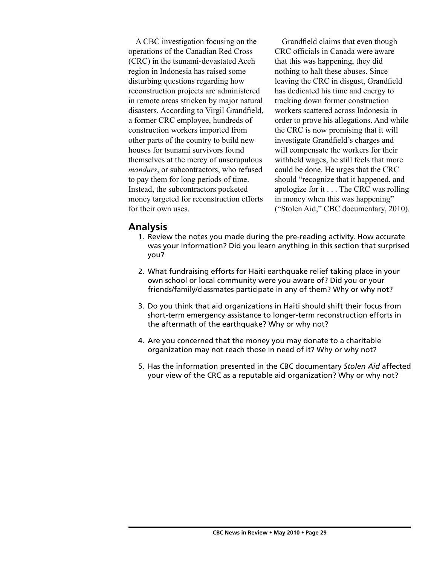A CBC investigation focusing on the operations of the Canadian Red Cross (CRC) in the tsunami-devastated Aceh region in Indonesia has raised some disturbing questions regarding how reconstruction projects are administered in remote areas stricken by major natural disasters. According to Virgil Grandfield, a former CRC employee, hundreds of construction workers imported from other parts of the country to build new houses for tsunami survivors found themselves at the mercy of unscrupulous *mandurs*, or subcontractors, who refused to pay them for long periods of time. Instead, the subcontractors pocketed money targeted for reconstruction efforts for their own uses.

Grandfield claims that even though CRC officials in Canada were aware that this was happening, they did nothing to halt these abuses. Since leaving the CRC in disgust, Grandfield has dedicated his time and energy to tracking down former construction workers scattered across Indonesia in order to prove his allegations. And while the CRC is now promising that it will investigate Grandfield's charges and will compensate the workers for their withheld wages, he still feels that more could be done. He urges that the CRC should "recognize that it happened, and apologize for it . . . The CRC was rolling in money when this was happening" ("Stolen Aid," CBC documentary, 2010).

### **Analysis**

- 1. Review the notes you made during the pre-reading activity. How accurate was your information? Did you learn anything in this section that surprised you?
- 2. What fundraising efforts for Haiti earthquake relief taking place in your own school or local community were you aware of? Did you or your friends/family/classmates participate in any of them? Why or why not?
- 3. Do you think that aid organizations in Haiti should shift their focus from short-term emergency assistance to longer-term reconstruction efforts in the aftermath of the earthquake? Why or why not?
- 4. Are you concerned that the money you may donate to a charitable organization may not reach those in need of it? Why or why not?
- 5. Has the information presented in the CBC documentary *Stolen Aid* affected your view of the CRC as a reputable aid organization? Why or why not?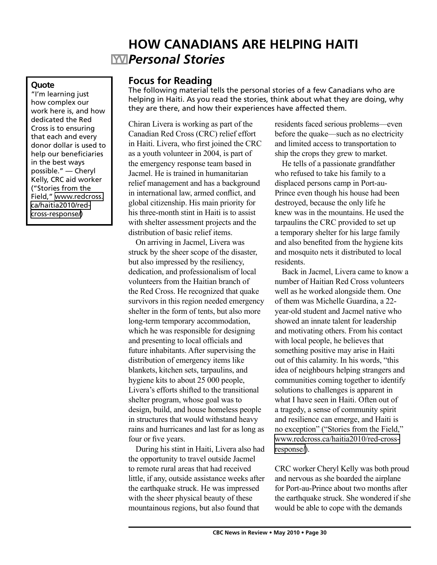# **HOW CANADIANS ARE HELPING HAITI** *Personal Stories*

#### **Quote**

"I'm learning just how complex our work here is, and how dedicated the Red Cross is to ensuring that each and every donor dollar is used to help our beneficiaries in the best ways possible." — Cheryl Kelly, CRC aid worker ("Stories from the Field," [www.redcross.](http://www.redcross.ca/haitia2010/red-cross-response/) [ca/haitia2010/red](http://www.redcross.ca/haitia2010/red-cross-response/)[cross-response/\)](http://www.redcross.ca/haitia2010/red-cross-response/)

## **Focus for Reading**

The following material tells the personal stories of a few Canadians who are helping in Haiti. As you read the stories, think about what they are doing, why they are there, and how their experiences have affected them.

Chiran Livera is working as part of the Canadian Red Cross (CRC) relief effort in Haiti. Livera, who first joined the CRC as a youth volunteer in 2004, is part of the emergency response team based in Jacmel. He is trained in humanitarian relief management and has a background in international law, armed conflict, and global citizenship. His main priority for his three-month stint in Haiti is to assist with shelter assessment projects and the distribution of basic relief items.

On arriving in Jacmel, Livera was struck by the sheer scope of the disaster, but also impressed by the resiliency, dedication, and professionalism of local volunteers from the Haitian branch of the Red Cross. He recognized that quake survivors in this region needed emergency shelter in the form of tents, but also more long-term temporary accommodation, which he was responsible for designing and presenting to local officials and future inhabitants. After supervising the distribution of emergency items like blankets, kitchen sets, tarpaulins, and hygiene kits to about 25 000 people, Livera's efforts shifted to the transitional shelter program, whose goal was to design, build, and house homeless people in structures that would withstand heavy rains and hurricanes and last for as long as four or five years.

During his stint in Haiti, Livera also had the opportunity to travel outside Jacmel to remote rural areas that had received little, if any, outside assistance weeks after the earthquake struck. He was impressed with the sheer physical beauty of these mountainous regions, but also found that

residents faced serious problems—even before the quake—such as no electricity and limited access to transportation to ship the crops they grew to market.

He tells of a passionate grandfather who refused to take his family to a displaced persons camp in Port-au-Prince even though his house had been destroyed, because the only life he knew was in the mountains. He used the tarpaulins the CRC provided to set up a temporary shelter for his large family and also benefited from the hygiene kits and mosquito nets it distributed to local residents.

Back in Jacmel, Livera came to know a number of Haitian Red Cross volunteers well as he worked alongside them. One of them was Michelle Guardina, a 22 year-old student and Jacmel native who showed an innate talent for leadership and motivating others. From his contact with local people, he believes that something positive may arise in Haiti out of this calamity. In his words, "this idea of neighbours helping strangers and communities coming together to identify solutions to challenges is apparent in what I have seen in Haiti. Often out of a tragedy, a sense of community spirit and resilience can emerge, and Haiti is no exception" ("Stories from the Field," [www.redcross.ca/haitia2010/red-cross](http://www.redcross.ca/haitia2010/red-cross-response/)[response/](http://www.redcross.ca/haitia2010/red-cross-response/)).

CRC worker Cheryl Kelly was both proud and nervous as she boarded the airplane for Port-au-Prince about two months after the earthquake struck. She wondered if she would be able to cope with the demands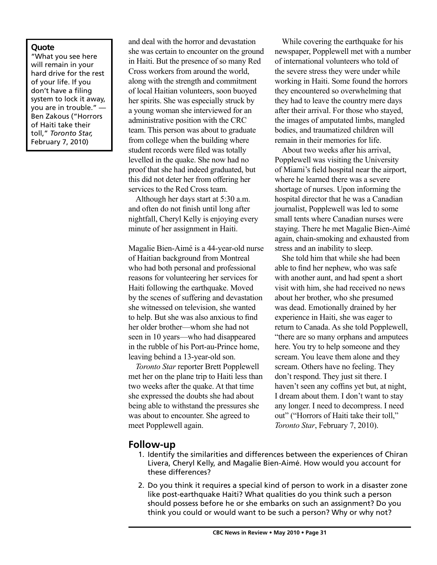#### **Quote**

"What you see here will remain in your hard drive for the rest of your life. If you don't have a filing system to lock it away, you are in trouble." — Ben Zakous ("Horrors of Haiti take their toll," *Toronto Star,* February 7, 2010)

and deal with the horror and devastation she was certain to encounter on the ground in Haiti. But the presence of so many Red Cross workers from around the world, along with the strength and commitment of local Haitian volunteers, soon buoyed her spirits. She was especially struck by a young woman she interviewed for an administrative position with the CRC team. This person was about to graduate from college when the building where student records were filed was totally levelled in the quake. She now had no proof that she had indeed graduated, but this did not deter her from offering her services to the Red Cross team.

Although her days start at 5:30 a.m. and often do not finish until long after nightfall, Cheryl Kelly is enjoying every minute of her assignment in Haiti.

Magalie Bien-Aimé is a 44-year-old nurse of Haitian background from Montreal who had both personal and professional reasons for volunteering her services for Haiti following the earthquake. Moved by the scenes of suffering and devastation she witnessed on television, she wanted to help. But she was also anxious to find her older brother—whom she had not seen in 10 years—who had disappeared in the rubble of his Port-au-Prince home, leaving behind a 13-year-old son.

*Toronto Star* reporter Brett Popplewell met her on the plane trip to Haiti less than two weeks after the quake. At that time she expressed the doubts she had about being able to withstand the pressures she was about to encounter. She agreed to meet Popplewell again.

While covering the earthquake for his newspaper, Popplewell met with a number of international volunteers who told of the severe stress they were under while working in Haiti. Some found the horrors they encountered so overwhelming that they had to leave the country mere days after their arrival. For those who stayed, the images of amputated limbs, mangled bodies, and traumatized children will remain in their memories for life.

About two weeks after his arrival, Popplewell was visiting the University of Miami's field hospital near the airport, where he learned there was a severe shortage of nurses. Upon informing the hospital director that he was a Canadian journalist, Popplewell was led to some small tents where Canadian nurses were staying. There he met Magalie Bien-Aimé again, chain-smoking and exhausted from stress and an inability to sleep.

She told him that while she had been able to find her nephew, who was safe with another aunt, and had spent a short visit with him, she had received no news about her brother, who she presumed was dead. Emotionally drained by her experience in Haiti, she was eager to return to Canada. As she told Popplewell, "there are so many orphans and amputees here. You try to help someone and they scream. You leave them alone and they scream. Others have no feeling. They don't respond. They just sit there. I haven't seen any coffins yet but, at night, I dream about them. I don't want to stay any longer. I need to decompress. I need out" ("Horrors of Haiti take their toll," *Toronto Star*, February 7, 2010).

### **Follow-up**

- 1. Identify the similarities and differences between the experiences of Chiran Livera, Cheryl Kelly, and Magalie Bien-Aimé. How would you account for these differences?
- 2. Do you think it requires a special kind of person to work in a disaster zone like post-earthquake Haiti? What qualities do you think such a person should possess before he or she embarks on such an assignment? Do you think you could or would want to be such a person? Why or why not?